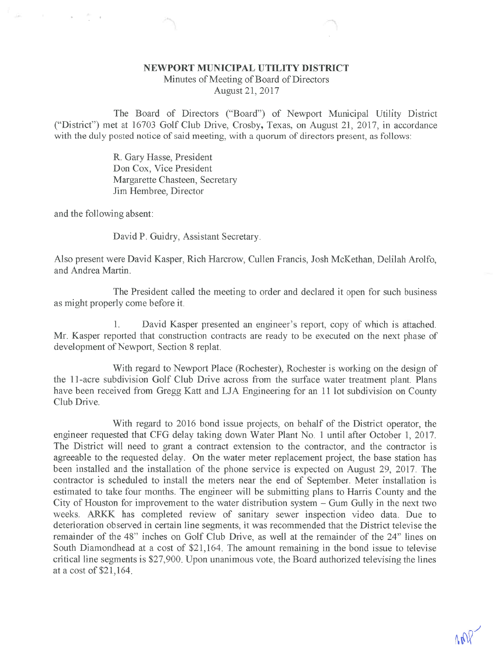## NEWPORT MUNICIPAL UTILITY DISTRICT

 $\mathcal{P}^{\mathcal{P}}$  . The contract of the contract of the contract of the contract of the contract of the contract of the contract of the contract of the contract of the contract of the contract of the contract of the contrac

Minutes of Meeting of Board of Directors August 21, 2017

The Board of Directors ("Board") of Newport Municipal Utility District ("District") met at 16703 Golf Club Drive, Crosby, Texas, on August 21, 2017, in accordance with the duly posted notice of said meeting, with a quorum of directors present, as follows:

> R. Gary Hasse, President Don Cox, Vice President Margarette Chasteen, Secretary Jim Hembree, Director

and the following absent:

David P. Guidry, Assistant Secretary.

Also present were David Kasper, Rich Harcrow, Cullen Francis, Josh McKethan, Delilah Arolfo, and Andrea Martin.

The President called the meeting to order and declared it open for such business as might properly come before it.

1. David Kasper presented an engineer's report, copy of which is attached. Mr. Kasper reported that construction contracts are ready to be executed on the next phase of development of Newport, Section 8 replat.

With regard to Newport Place (Rochester), Rochester is working on the design of the 11-acre subdivision Golf Club Drive across from the surface water treatment plant. Plans have been received from Gregg Katt and LJA Engineering for an 11 lot subdivision on County Club Drive.

With regard to 2016 bond issue projects, on behalf of the District operator, the engineer requested that CFG delay taking down Water Plant No. 1 until after October 1, 2017. The District will need to grant a contract extension to the contractor, and the contractor is agreeable to the requested delay. On the water meter replacement project, the base station has been installed and the installation of the phone service is expected on August 29, 2017. The contractor is scheduled to install the meters near the end of September. Meter installation is estimated to take four months. The engineer will be submitting plans to Harris County and the City of Houston for improvement to the water distribution system - Gum Gully in the next two weeks. ARKK has completed review of sanitary sewer inspection video data. Due to deterioration observed in certain line segments, it was recommended that the District televise the remainder of the 48" inches on Golf Club Drive, as well at the remainder of the 24" lines on South Diamondhead at a cost of \$21,164. The amount remaining in the bond issue to televise critical line segments is \$27,900. Upon unanimous vote, the Board authorized televising the lines at a cost of \$21,164.

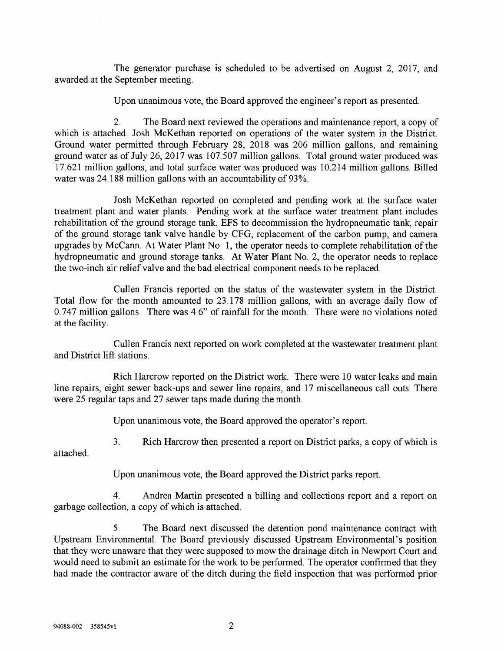The generator purchase is scheduled to be advertised on August 2, 2017, and awarded at the September meeting.

Upon unanimous vote, the Board approved the engineer's report as presented.

2. The Board next reviewed the operations and maintenance report, a copy of which is attached. Josh McKethan reported on operations of the water system in the District. Ground water permitted through February 28, 2018 was 206 million gallons, and remaining ground water as of July 26, 2017 was 107.507 million gallons. Total ground water produced was 17.621 million gallons, and total surface water was produced was 10.214 million gallons. Billed water was 24.188 million gallons with an accountability of 93%.

Josh McKethan reported on completed and pending work at the surface water treatment plant and water plants. Pending work at the surface water treatment plant includes rehabilitation of the ground storage tank, EPS to decommission the hydropneumatic tank, repair of the ground storage tank valve handle by CFG, replacement of the carbon pump, and camera upgrades by McCann. At Water Plant No. 1, the operator needs to complete rehabilitation of the hydropneumatic and ground storage tanks. At Water Plant No. 2, the operator needs to replace the two-inch air relief valve and the bad electrical component needs to be replaced.

Cullen Francis reported on the status of the wastewater system in the District. Total flow for the month amounted to 23.178 million gallons, with an average daily flow of 0.747 million gallons. There was 4.6" of rainfall for the month. There were no violations noted at the facility.

Cullen Francis next reported on work completed at the wastewater treatment plant and District lift stations.

Rich Harcrow reported on the District work. There were 10 water leaks and main line repairs, eight sewer back-ups and sewer line repairs, and 17 miscellaneous call cuts. There were 25 regular taps and 27 sewer taps made during the month.

Upon unanimous vote, the Board approved the operator's report.

3. Rich Harcrow then presented a report on District parks, a copy of which is

attached.

Upon unanimous vote, the Board approved the District parks report.

4. Andrea Martin presented a billing and collections report and a report on garbage collection, a copy of which is attached.

5. The Board next discussed the detention pond maintenance contract with Upstream Environmental. The Board previously discussed Upstream Environmental's position that they were unaware that they were supposed to mow the drainage ditch in Newport Court and would need to submit an estimate for the work to be performed. The operator confirmed that they had made the contractor aware of the ditch during the field inspection that was performed prior